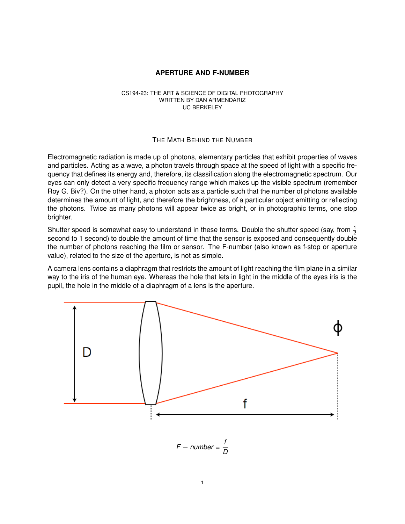## **APERTURE AND F-NUMBER**

## CS194-23: THE ART & SCIENCE OF DIGITAL PHOTOGRAPHY WRITTEN BY DAN ARMENDARIZ UC BERKELEY

## THE MATH BEHIND THE NUMBER

Electromagnetic radiation is made up of photons, elementary particles that exhibit properties of waves and particles. Acting as a wave, a photon travels through space at the speed of light with a specific frequency that defines its energy and, therefore, its classification along the electromagnetic spectrum. Our eyes can only detect a very specific frequency range which makes up the visible spectrum (remember Roy G. Biv?). On the other hand, a photon acts as a particle such that the number of photons available determines the amount of light, and therefore the brightness, of a particular object emitting or reflecting the photons. Twice as many photons will appear twice as bright, or in photographic terms, one stop brighter.

Shutter speed is somewhat easy to understand in these terms. Double the shutter speed (say, from  $\frac{1}{2}$ second to 1 second) to double the amount of time that the sensor is exposed and consequently double the number of photons reaching the film or sensor. The F-number (also known as f-stop or aperture value), related to the size of the aperture, is not as simple.

A camera lens contains a diaphragm that restricts the amount of light reaching the film plane in a similar way to the iris of the human eye. Whereas the hole that lets in light in the middle of the eyes iris is the pupil, the hole in the middle of a diaphragm of a lens is the aperture.



*F* − *number* = *f D*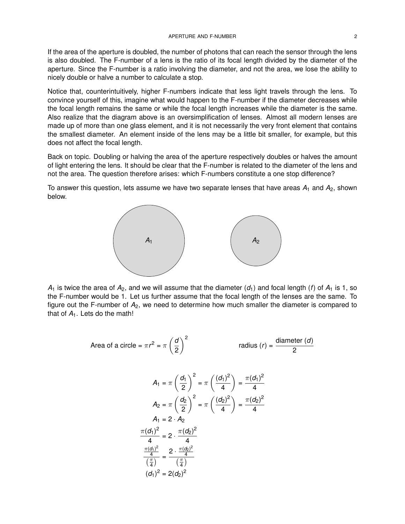If the area of the aperture is doubled, the number of photons that can reach the sensor through the lens is also doubled. The F-number of a lens is the ratio of its focal length divided by the diameter of the aperture. Since the F-number is a ratio involving the diameter, and not the area, we lose the ability to nicely double or halve a number to calculate a stop.

Notice that, counterintuitively, higher F-numbers indicate that less light travels through the lens. To convince yourself of this, imagine what would happen to the F-number if the diameter decreases while the focal length remains the same or while the focal length increases while the diameter is the same. Also realize that the diagram above is an oversimplification of lenses. Almost all modern lenses are made up of more than one glass element, and it is not necessarily the very front element that contains the smallest diameter. An element inside of the lens may be a little bit smaller, for example, but this does not affect the focal length.

Back on topic. Doubling or halving the area of the aperture respectively doubles or halves the amount of light entering the lens. It should be clear that the F-number is related to the diameter of the lens and not the area. The question therefore arises: which F-numbers constitute a one stop difference?

To answer this question, lets assume we have two separate lenses that have areas *A*<sup>1</sup> and *A*2, shown below.



 $A_1$  is twice the area of  $A_2$ , and we will assume that the diameter  $(d_1)$  and focal length (*f*) of  $A_1$  is 1, so the F-number would be 1. Let us further assume that the focal length of the lenses are the same. To figure out the F-number of  $A_2$ , we need to determine how much smaller the diameter is compared to that of  $A_1$ . Lets do the math!

Area of a circle = 
$$
\pi r^2 = \pi \left(\frac{d}{2}\right)^2
$$
 radius (r) =  $\frac{\text{diameter (d)}}{2}$ 

$$
A_1 = \pi \left(\frac{d_1}{2}\right)^2 = \pi \left(\frac{(d_1)^2}{4}\right) = \frac{\pi (d_1)^2}{4}
$$
  
\n
$$
A_2 = \pi \left(\frac{d_2}{2}\right)^2 = \pi \left(\frac{(d_2)^2}{4}\right) = \frac{\pi (d_2)^2}{4}
$$
  
\n
$$
A_1 = 2 \cdot A_2
$$
  
\n
$$
\frac{\pi (d_1)^2}{4} = 2 \cdot \frac{\pi (d_2)^2}{4}
$$
  
\n
$$
\frac{\pi (d_1)^2}{4} = \frac{2 \cdot \frac{\pi (d_2)^2}{4}}{\left(\frac{\pi}{4}\right)}
$$
  
\n
$$
(d_1)^2 = 2(d_2)^2
$$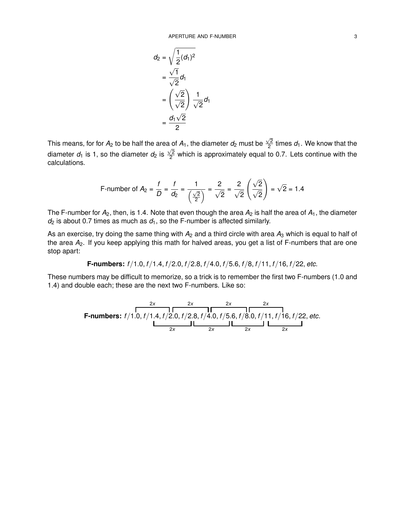$$
d_2 = \sqrt{\frac{1}{2}(d_1)^2}
$$
  
= 
$$
\frac{\sqrt{1}}{\sqrt{2}}d_1
$$
  
= 
$$
\left(\frac{\sqrt{2}}{\sqrt{2}}\right)\frac{1}{\sqrt{2}}d_1
$$
  
= 
$$
\frac{d_1\sqrt{2}}{2}
$$

This means, for for  $A_2$  to be half the area of  $A_1$ , the diameter  $d_2$  must be  $\sqrt{2}$ a of  $A_1$ , the diameter  $d_2$  must be  $\frac{\sqrt{2}}{2}$  times  $d_1$ . We know that the diameter  $d_1$  is 1, so the diameter  $d_2$  is  $\frac{\sqrt{2}}{2}$  $\frac{\sqrt{2}}{2}$  which is approximately equal to 0.7. Lets continue with the calculations.

F-number of 
$$
A_2 = \frac{f}{D} = \frac{f}{d_2} = \frac{1}{\left(\frac{\sqrt{2}}{2}\right)} = \frac{2}{\sqrt{2}} = \frac{2}{\sqrt{2}} \left(\frac{\sqrt{2}}{\sqrt{2}}\right) = \sqrt{2} = 1.4
$$

The F-number for  $A_2$ , then, is 1.4. Note that even though the area  $A_2$  is half the area of  $A_1$ , the diameter  $d_2$  is about 0.7 times as much as  $d_1$ , so the F-number is affected similarly.

As an exercise, try doing the same thing with  $A_2$  and a third circle with area  $A_3$  which is equal to half of the area *A*2. If you keep applying this math for halved areas, you get a list of F-numbers that are one stop apart:

**F-numbers:** *f* /1.0, *f* /1.4, *f* /2.0, *f* /2.8, *f* /4.0, *f* /5.6, *f* /8, *f* /11, *f* /16, *f* /22, *etc.*

These numbers may be difficult to memorize, so a trick is to remember the first two F-numbers (1.0 and 1.4) and double each; these are the next two F-numbers. Like so:

| 2x                                                                                   | 2x | 2x | 2x |
|--------------------------------------------------------------------------------------|----|----|----|
| F-numbers: $f/1.0, f/1.4, f/2.0, f/2.8, f/4.0, f/5.6, f/8.0, f/11, f/16, f/22, etc.$ |    |    |    |
| 2x                                                                                   | 2x | 2x | 2x |